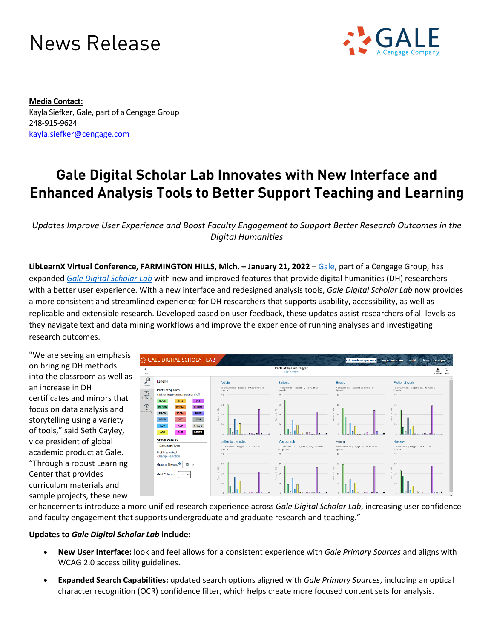## News Release



**Media Contact:** Kayla Siefker, Gale, part of a Cengage Group 248-915-9624 [kayla.siefker@cengage.com](mailto:kayla.siefker@cengage.com)

## **Gale Digital Scholar Lab Innovates with New Interface and Enhanced Analysis Tools to Better Support Teaching and Learning**

*Updates Improve User Experience and Boost Faculty Engagement to Support Better Research Outcomes in the Digital Humanities*

**LibLearnX Virtual Conference, FARMINGTON HILLS, Mich. – January 21, 2022** – [Gale,](https://www.gale.com/?utm_source=prnewswire&utm_medium=pr&utm_campaign=got221917632) part of a Cengage Group, has expanded *[Gale Digital Scholar Lab](https://www.gale.com/primary-sources/digital-scholar-lab?utm_source=prnewswire&utm_medium=pr&utm_campaign=got221917632)* with new and improved features that provide digital humanities (DH) researchers with a better user experience. With a new interface and redesigned analysis tools, *Gale Digital Scholar Lab* now provides a more consistent and streamlined experience for DH researchers that supports usability, accessibility, as well as replicable and extensible research. Developed based on user feedback, these updates assist researchers of all levels as they navigate text and data mining workflows and improve the experience of running analyses and investigating research outcomes.

"We are seeing an emphasis on bringing DH methods into the classroom as well as an increase in DH certificates and minors that focus on data analysis and storytelling using a variety of tools," said Seth Cayley, vice president of global academic product at Gale. "Through a robust Learning Center that provides curriculum materials and sample projects, these new



enhancements introduce a more unified research experience across *Gale Digital Scholar Lab*, increasing user confidence and faculty engagement that supports undergraduate and graduate research and teaching."

## **Updates to** *Gale Digital Scholar Lab* **include:**

- **New User Interface:** look and feel allows for a consistent experience with *Gale Primary Sources* and aligns with WCAG 2.0 accessibility guidelines.
- **Expanded Search Capabilities:** updated search options aligned with *Gale Primary Sources*, including an optical character recognition (OCR) confidence filter, which helps create more focused content sets for analysis.